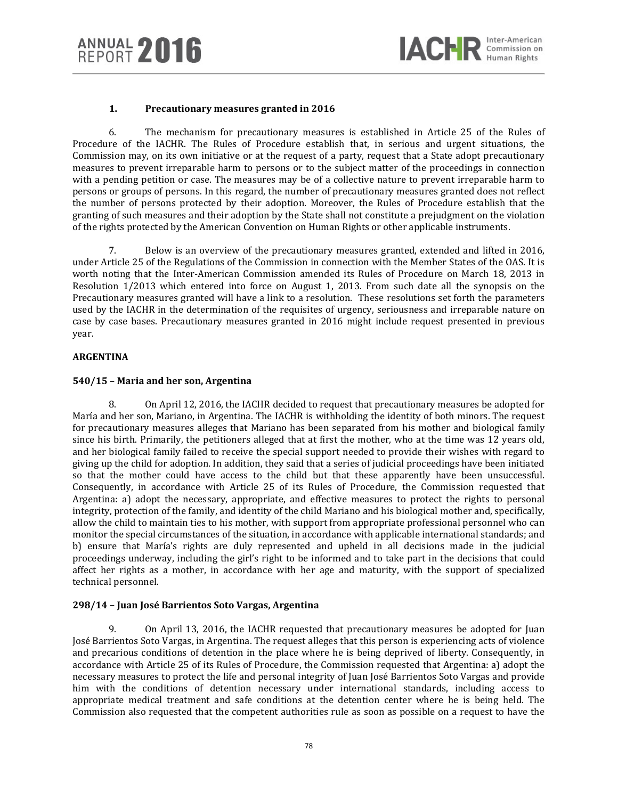# **1. Precautionary measures granted in 2016**

6. The mechanism for precautionary measures is established in Article 25 of the Rules of Procedure of the IACHR. The Rules of Procedure establish that, in serious and urgent situations, the Commission may, on its own initiative or at the request of a party, request that a State adopt precautionary measures to prevent irreparable harm to persons or to the subject matter of the proceedings in connection with a pending petition or case. The measures may be of a collective nature to prevent irreparable harm to persons or groups of persons. In this regard, the number of precautionary measures granted does not reflect the number of persons protected by their adoption. Moreover, the Rules of Procedure establish that the granting of such measures and their adoption by the State shall not constitute a prejudgment on the violation of the rights protected by the American Convention on Human Rights or other applicable instruments.

7. Below is an overview of the precautionary measures granted, extended and lifted in 2016, under Article 25 of the Regulations of the Commission in connection with the Member States of the OAS. It is worth noting that the Inter-American Commission amended its Rules of Procedure on March 18, 2013 in Resolution 1/2013 which entered into force on August 1, 2013. From such date all the synopsis on the Precautionary measures granted will have a link to a resolution. These resolutions set forth the parameters used by the IACHR in the determination of the requisites of urgency, seriousness and irreparable nature on case by case bases. Precautionary measures granted in 2016 might include request presented in previous year.

# **ARGENTINA**

# **540/15 – Maria and her son, Argentina**

8. On April 12, 2016, the IACHR decided to request that precautionary measures be adopted for María and her son, Mariano, in Argentina. The IACHR is withholding the identity of both minors. The request for precautionary measures alleges that Mariano has been separated from his mother and biological family since his birth. Primarily, the petitioners alleged that at first the mother, who at the time was 12 years old, and her biological family failed to receive the special support needed to provide their wishes with regard to giving up the child for adoption. In addition, they said that a series of judicial proceedings have been initiated so that the mother could have access to the child but that these apparently have been unsuccessful. Consequently, in accordance with Article 25 of its Rules of Procedure, the Commission requested that Argentina: a) adopt the necessary, appropriate, and effective measures to protect the rights to personal integrity, protection of the family, and identity of the child Mariano and his biological mother and, specifically, allow the child to maintain ties to his mother, with support from appropriate professional personnel who can monitor the special circumstances of the situation, in accordance with applicable international standards; and b) ensure that María's rights are duly represented and upheld in all decisions made in the judicial proceedings underway, including the girl's right to be informed and to take part in the decisions that could affect her rights as a mother, in accordance with her age and maturity, with the support of specialized technical personnel.

# **298/14 – Juan José Barrientos Soto Vargas, Argentina**

9. On April 13, 2016, the IACHR requested that precautionary measures be adopted for Juan José Barrientos Soto Vargas, in Argentina. The request alleges that this person is experiencing acts of violence and precarious conditions of detention in the place where he is being deprived of liberty. Consequently, in accordance with Article 25 of its Rules of Procedure, the Commission requested that Argentina: a) adopt the necessary measures to protect the life and personal integrity of Juan José Barrientos Soto Vargas and provide him with the conditions of detention necessary under international standards, including access to appropriate medical treatment and safe conditions at the detention center where he is being held. The Commission also requested that the competent authorities rule as soon as possible on a request to have the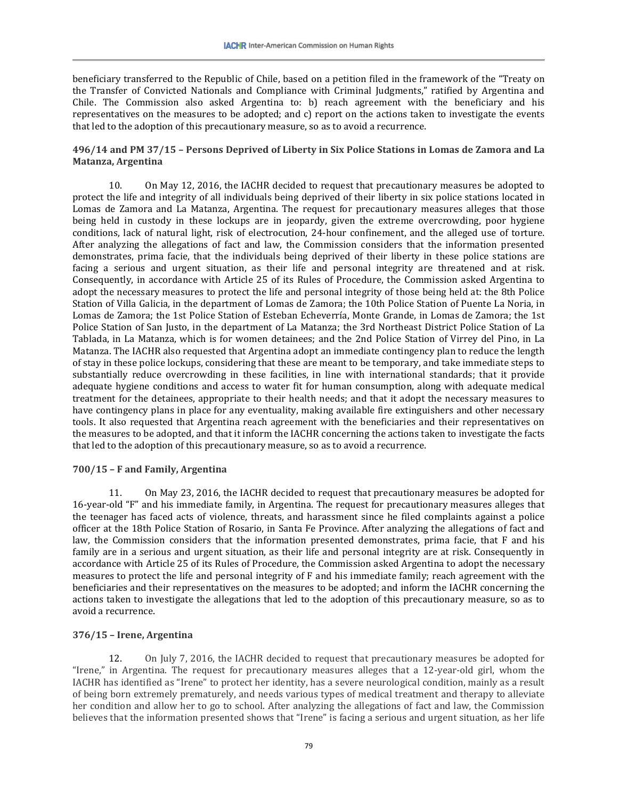beneficiary transferred to the Republic of Chile, based on a petition filed in the framework of the "Treaty on the Transfer of Convicted Nationals and Compliance with Criminal Judgments," ratified by Argentina and Chile. The Commission also asked Argentina to: b) reach agreement with the beneficiary and his representatives on the measures to be adopted; and c) report on the actions taken to investigate the events that led to the adoption of this precautionary measure, so as to avoid a recurrence.

# **496/14 and PM 37/15 – Persons Deprived of Liberty in Six Police Stations in Lomas de Zamora and La Matanza, Argentina**

10. On May 12, 2016, the IACHR decided to request that precautionary measures be adopted to protect the life and integrity of all individuals being deprived of their liberty in six police stations located in Lomas de Zamora and La Matanza, Argentina. The request for precautionary measures alleges that those being held in custody in these lockups are in jeopardy, given the extreme overcrowding, poor hygiene conditions, lack of natural light, risk of electrocution, 24-hour confinement, and the alleged use of torture. After analyzing the allegations of fact and law, the Commission considers that the information presented demonstrates, prima facie, that the individuals being deprived of their liberty in these police stations are facing a serious and urgent situation, as their life and personal integrity are threatened and at risk. Consequently, in accordance with Article 25 of its Rules of Procedure, the Commission asked Argentina to adopt the necessary measures to protect the life and personal integrity of those being held at: the 8th Police Station of Villa Galicia, in the department of Lomas de Zamora; the 10th Police Station of Puente La Noria, in Lomas de Zamora; the 1st Police Station of Esteban Echeverría, Monte Grande, in Lomas de Zamora; the 1st Police Station of San Justo, in the department of La Matanza; the 3rd Northeast District Police Station of La Tablada, in La Matanza, which is for women detainees; and the 2nd Police Station of Virrey del Pino, in La Matanza. The IACHR also requested that Argentina adopt an immediate contingency plan to reduce the length of stay in these police lockups, considering that these are meant to be temporary, and take immediate steps to substantially reduce overcrowding in these facilities, in line with international standards; that it provide adequate hygiene conditions and access to water fit for human consumption, along with adequate medical treatment for the detainees, appropriate to their health needs; and that it adopt the necessary measures to have contingency plans in place for any eventuality, making available fire extinguishers and other necessary tools. It also requested that Argentina reach agreement with the beneficiaries and their representatives on the measures to be adopted, and that it inform the IACHR concerning the actions taken to investigate the facts that led to the adoption of this precautionary measure, so as to avoid a recurrence.

# **700/15 – F and Family, Argentina**

11. On May 23, 2016, the IACHR decided to request that precautionary measures be adopted for 16-year-old "F" and his immediate family, in Argentina. The request for precautionary measures alleges that the teenager has faced acts of violence, threats, and harassment since he filed complaints against a police officer at the 18th Police Station of Rosario, in Santa Fe Province. After analyzing the allegations of fact and law, the Commission considers that the information presented demonstrates, prima facie, that F and his family are in a serious and urgent situation, as their life and personal integrity are at risk. Consequently in accordance with Article 25 of its Rules of Procedure, the Commission asked Argentina to adopt the necessary measures to protect the life and personal integrity of F and his immediate family; reach agreement with the beneficiaries and their representatives on the measures to be adopted; and inform the IACHR concerning the actions taken to investigate the allegations that led to the adoption of this precautionary measure, so as to avoid a recurrence.

# **376/15 – Irene, Argentina**

12. On July 7, 2016, the IACHR decided to request that precautionary measures be adopted for "Irene," in Argentina. The request for precautionary measures alleges that a 12-year-old girl, whom the IACHR has identified as "Irene" to protect her identity, has a severe neurological condition, mainly as a result of being born extremely prematurely, and needs various types of medical treatment and therapy to alleviate her condition and allow her to go to school. After analyzing the allegations of fact and law, the Commission believes that the information presented shows that "Irene" is facing a serious and urgent situation, as her life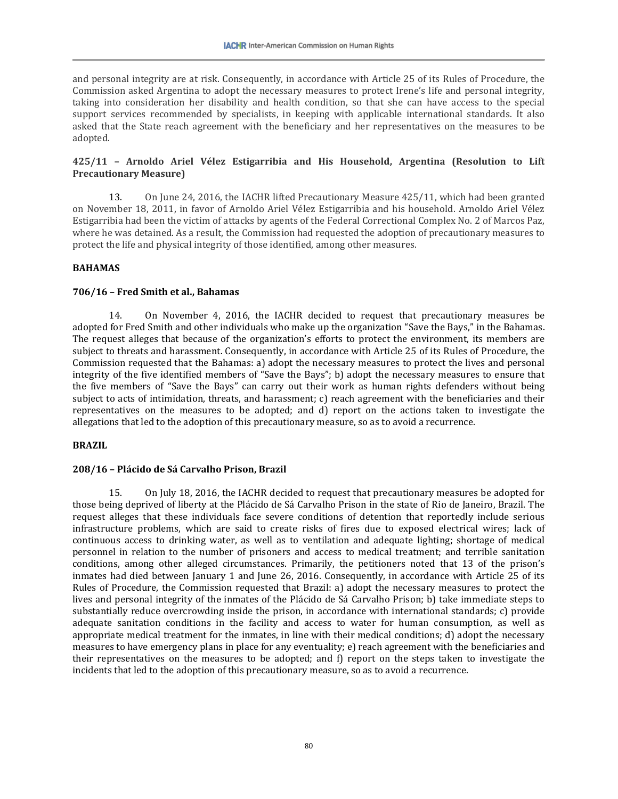and personal integrity are at risk. Consequently, in accordance with Article 25 of its Rules of Procedure, the Commission asked Argentina to adopt the necessary measures to protect Irene's life and personal integrity, taking into consideration her disability and health condition, so that she can have access to the special support services recommended by specialists, in keeping with applicable international standards. It also asked that the State reach agreement with the beneficiary and her representatives on the measures to be adopted.

# **425/11 – Arnoldo Ariel Vélez Estigarribia and His Household, Argentina (Resolution to Lift Precautionary Measure)**

13. On June 24, 2016, the IACHR lifted Precautionary Measure 425/11, which had been granted on November 18, 2011, in favor of Arnoldo Ariel Vélez Estigarribia and his household. Arnoldo Ariel Vélez Estigarribia had been the victim of attacks by agents of the Federal Correctional Complex No. 2 of Marcos Paz, where he was detained. As a result, the Commission had requested the adoption of precautionary measures to protect the life and physical integrity of those identified, among other measures.

# **BAHAMAS**

## **706/16 – Fred Smith et al., Bahamas**

14. On November 4, 2016, the IACHR decided to request that precautionary measures be adopted for Fred Smith and other individuals who make up the organization "Save the Bays," in the Bahamas. The request alleges that because of the organization's efforts to protect the environment, its members are subject to threats and harassment. Consequently, in accordance with Article 25 of its Rules of Procedure, the Commission requested that the Bahamas: a) adopt the necessary measures to protect the lives and personal integrity of the five identified members of "Save the Bays"; b) adopt the necessary measures to ensure that the five members of "Save the Bays" can carry out their work as human rights defenders without being subject to acts of intimidation, threats, and harassment; c) reach agreement with the beneficiaries and their representatives on the measures to be adopted; and d) report on the actions taken to investigate the allegations that led to the adoption of this precautionary measure, so as to avoid a recurrence.

### **BRAZIL**

### **208/16 – Plácido de Sá Carvalho Prison, Brazil**

15. On July 18, 2016, the IACHR decided to request that precautionary measures be adopted for those being deprived of liberty at the Plácido de Sá Carvalho Prison in the state of Rio de Janeiro, Brazil. The request alleges that these individuals face severe conditions of detention that reportedly include serious infrastructure problems, which are said to create risks of fires due to exposed electrical wires; lack of continuous access to drinking water, as well as to ventilation and adequate lighting; shortage of medical personnel in relation to the number of prisoners and access to medical treatment; and terrible sanitation conditions, among other alleged circumstances. Primarily, the petitioners noted that 13 of the prison's inmates had died between January 1 and June 26, 2016. Consequently, in accordance with Article 25 of its Rules of Procedure, the Commission requested that Brazil: a) adopt the necessary measures to protect the lives and personal integrity of the inmates of the Plácido de Sá Carvalho Prison; b) take immediate steps to substantially reduce overcrowding inside the prison, in accordance with international standards; c) provide adequate sanitation conditions in the facility and access to water for human consumption, as well as appropriate medical treatment for the inmates, in line with their medical conditions; d) adopt the necessary measures to have emergency plans in place for any eventuality; e) reach agreement with the beneficiaries and their representatives on the measures to be adopted; and f) report on the steps taken to investigate the incidents that led to the adoption of this precautionary measure, so as to avoid a recurrence.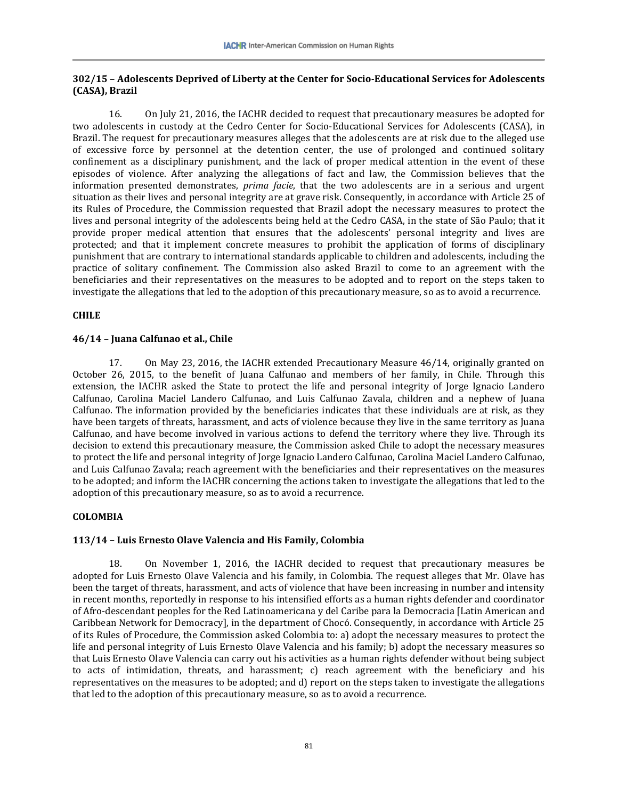# **302/15 – Adolescents Deprived of Liberty at the Center for Socio-Educational Services for Adolescents (CASA), Brazil**

16. On July 21, 2016, the IACHR decided to request that precautionary measures be adopted for two adolescents in custody at the Cedro Center for Socio-Educational Services for Adolescents (CASA), in Brazil. The request for precautionary measures alleges that the adolescents are at risk due to the alleged use of excessive force by personnel at the detention center, the use of prolonged and continued solitary confinement as a disciplinary punishment, and the lack of proper medical attention in the event of these episodes of violence. After analyzing the allegations of fact and law, the Commission believes that the information presented demonstrates, *prima facie*, that the two adolescents are in a serious and urgent situation as their lives and personal integrity are at grave risk. Consequently, in accordance with Article 25 of its Rules of Procedure, the Commission requested that Brazil adopt the necessary measures to protect the lives and personal integrity of the adolescents being held at the Cedro CASA, in the state of São Paulo; that it provide proper medical attention that ensures that the adolescents' personal integrity and lives are protected; and that it implement concrete measures to prohibit the application of forms of disciplinary punishment that are contrary to international standards applicable to children and adolescents, including the practice of solitary confinement. The Commission also asked Brazil to come to an agreement with the beneficiaries and their representatives on the measures to be adopted and to report on the steps taken to investigate the allegations that led to the adoption of this precautionary measure, so as to avoid a recurrence.

# **CHILE**

# **46/14 – Juana Calfunao et al., Chile**

17. On May 23, 2016, the IACHR extended Precautionary Measure 46/14, originally granted on October 26, 2015, to the benefit of Juana Calfunao and members of her family, in Chile. Through this extension, the IACHR asked the State to protect the life and personal integrity of Jorge Ignacio Landero Calfunao, Carolina Maciel Landero Calfunao, and Luis Calfunao Zavala, children and a nephew of Juana Calfunao. The information provided by the beneficiaries indicates that these individuals are at risk, as they have been targets of threats, harassment, and acts of violence because they live in the same territory as Juana Calfunao, and have become involved in various actions to defend the territory where they live. Through its decision to extend this precautionary measure, the Commission asked Chile to adopt the necessary measures to protect the life and personal integrity of Jorge Ignacio Landero Calfunao, Carolina Maciel Landero Calfunao, and Luis Calfunao Zavala; reach agreement with the beneficiaries and their representatives on the measures to be adopted; and inform the IACHR concerning the actions taken to investigate the allegations that led to the adoption of this precautionary measure, so as to avoid a recurrence.

# **COLOMBIA**

# **113/14 – Luis Ernesto Olave Valencia and His Family, Colombia**

18. On November 1, 2016, the IACHR decided to request that precautionary measures be adopted for Luis Ernesto Olave Valencia and his family, in Colombia. The request alleges that Mr. Olave has been the target of threats, harassment, and acts of violence that have been increasing in number and intensity in recent months, reportedly in response to his intensified efforts as a human rights defender and coordinator of Afro-descendant peoples for the Red Latinoamericana y del Caribe para la Democracia [Latin American and Caribbean Network for Democracy], in the department of Chocó. Consequently, in accordance with Article 25 of its Rules of Procedure, the Commission asked Colombia to: a) adopt the necessary measures to protect the life and personal integrity of Luis Ernesto Olave Valencia and his family; b) adopt the necessary measures so that Luis Ernesto Olave Valencia can carry out his activities as a human rights defender without being subject to acts of intimidation, threats, and harassment; c) reach agreement with the beneficiary and his representatives on the measures to be adopted; and d) report on the steps taken to investigate the allegations that led to the adoption of this precautionary measure, so as to avoid a recurrence.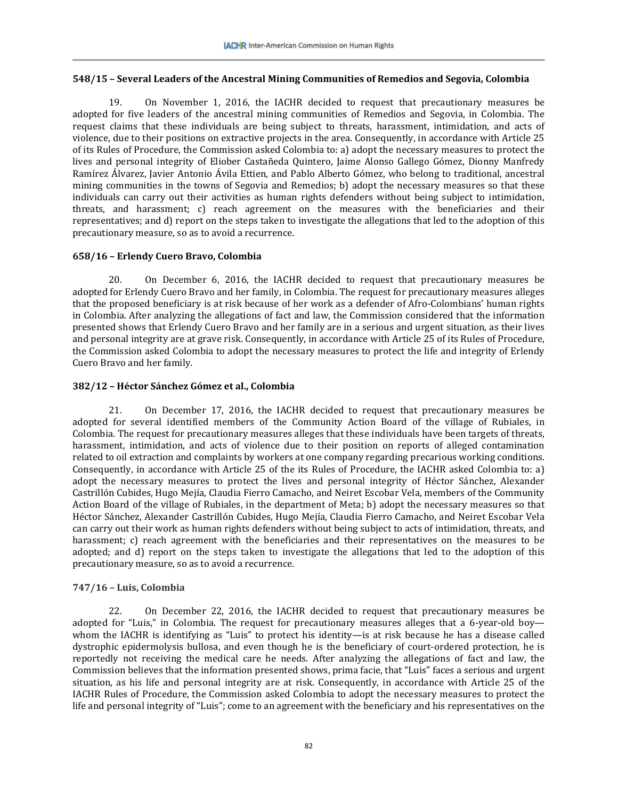# **548/15 – Several Leaders of the Ancestral Mining Communities of Remedios and Segovia, Colombia**

19. On November 1, 2016, the IACHR decided to request that precautionary measures be adopted for five leaders of the ancestral mining communities of Remedios and Segovia, in Colombia. The request claims that these individuals are being subject to threats, harassment, intimidation, and acts of violence, due to their positions on extractive projects in the area. Consequently, in accordance with Article 25 of its Rules of Procedure, the Commission asked Colombia to: a) adopt the necessary measures to protect the lives and personal integrity of Eliober Castañeda Quintero, Jaime Alonso Gallego Gómez, Dionny Manfredy Ramírez Álvarez, Javier Antonio Ávila Ettien, and Pablo Alberto Gómez, who belong to traditional, ancestral mining communities in the towns of Segovia and Remedios; b) adopt the necessary measures so that these individuals can carry out their activities as human rights defenders without being subject to intimidation, threats, and harassment; c) reach agreement on the measures with the beneficiaries and their representatives; and d) report on the steps taken to investigate the allegations that led to the adoption of this precautionary measure, so as to avoid a recurrence.

## **658/16 – Erlendy Cuero Bravo, Colombia**

20. On December 6, 2016, the IACHR decided to request that precautionary measures be adopted for Erlendy Cuero Bravo and her family, in Colombia. The request for precautionary measures alleges that the proposed beneficiary is at risk because of her work as a defender of Afro-Colombians' human rights in Colombia. After analyzing the allegations of fact and law, the Commission considered that the information presented shows that Erlendy Cuero Bravo and her family are in a serious and urgent situation, as their lives and personal integrity are at grave risk. Consequently, in accordance with Article 25 of its Rules of Procedure, the Commission asked Colombia to adopt the necessary measures to protect the life and integrity of Erlendy Cuero Bravo and her family.

## **382/12 – Héctor Sánchez Gómez et al., Colombia**

21. On December 17, 2016, the IACHR decided to request that precautionary measures be adopted for several identified members of the Community Action Board of the village of Rubiales, in Colombia. The request for precautionary measures alleges that these individuals have been targets of threats, harassment, intimidation, and acts of violence due to their position on reports of alleged contamination related to oil extraction and complaints by workers at one company regarding precarious working conditions. Consequently, in accordance with Article 25 of the its Rules of Procedure, the IACHR asked Colombia to: a) adopt the necessary measures to protect the lives and personal integrity of Héctor Sánchez, Alexander Castrillón Cubides, Hugo Mejía, Claudia Fierro Camacho, and Neiret Escobar Vela, members of the Community Action Board of the village of Rubiales, in the department of Meta; b) adopt the necessary measures so that Héctor Sánchez, Alexander Castrillón Cubides, Hugo Mejía, Claudia Fierro Camacho, and Neiret Escobar Vela can carry out their work as human rights defenders without being subject to acts of intimidation, threats, and harassment; c) reach agreement with the beneficiaries and their representatives on the measures to be adopted; and d) report on the steps taken to investigate the allegations that led to the adoption of this precautionary measure, so as to avoid a recurrence.

# **747/16 – Luis, Colombia**

22. On December 22, 2016, the IACHR decided to request that precautionary measures be adopted for "Luis," in Colombia. The request for precautionary measures alleges that a 6-year-old boy whom the IACHR is identifying as "Luis" to protect his identity—is at risk because he has a disease called dystrophic epidermolysis bullosa, and even though he is the beneficiary of court-ordered protection, he is reportedly not receiving the medical care he needs. After analyzing the allegations of fact and law, the Commission believes that the information presented shows, prima facie, that "Luis" faces a serious and urgent situation, as his life and personal integrity are at risk. Consequently, in accordance with Article 25 of the IACHR Rules of Procedure, the Commission asked Colombia to adopt the necessary measures to protect the life and personal integrity of "Luis"; come to an agreement with the beneficiary and his representatives on the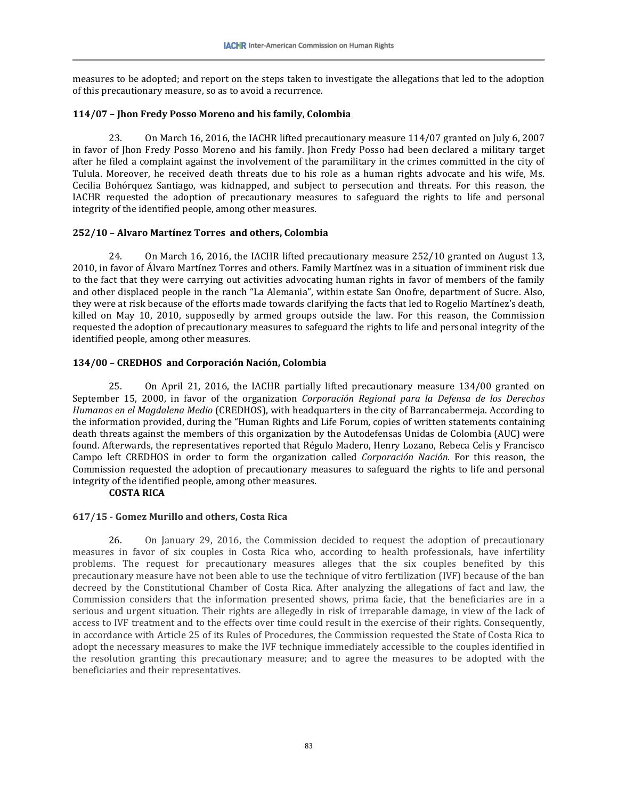measures to be adopted; and report on the steps taken to investigate the allegations that led to the adoption of this precautionary measure, so as to avoid a recurrence.

# **114/07 – Jhon Fredy Posso Moreno and his family, Colombia**

23. On March 16, 2016, the IACHR lifted precautionary measure 114/07 granted on July 6, 2007 in favor of Jhon Fredy Posso Moreno and his family. Jhon Fredy Posso had been declared a military target after he filed a complaint against the involvement of the paramilitary in the crimes committed in the city of Tulula. Moreover, he received death threats due to his role as a human rights advocate and his wife, Ms. Cecilia Bohórquez Santiago, was kidnapped, and subject to persecution and threats. For this reason, the IACHR requested the adoption of precautionary measures to safeguard the rights to life and personal integrity of the identified people, among other measures.

# **252/10 – Alvaro Martínez Torres and others, Colombia**

24. On March 16, 2016, the IACHR lifted precautionary measure 252/10 granted on August 13, 2010, in favor of Álvaro Martínez Torres and others. Family Martínez was in a situation of imminent risk due to the fact that they were carrying out activities advocating human rights in favor of members of the family and other displaced people in the ranch "La Alemania", within estate San Onofre, department of Sucre. Also, they were at risk because of the efforts made towards clarifying the facts that led to Rogelio Martínez's death, killed on May 10, 2010, supposedly by armed groups outside the law. For this reason, the Commission requested the adoption of precautionary measures to safeguard the rights to life and personal integrity of the identified people, among other measures.

# **134/00 – CREDHOS and Corporación Nación, Colombia**

25. On April 21, 2016, the IACHR partially lifted precautionary measure 134/00 granted on September 15, 2000, in favor of the organization *Corporación Regional para la Defensa de los Derechos Humanos en el Magdalena Medio* (CREDHOS), with headquarters in the city of Barrancabermeja. According to the information provided, during the "Human Rights and Life Forum, copies of written statements containing death threats against the members of this organization by the Autodefensas Unidas de Colombia (AUC) were found. Afterwards, the representatives reported that Régulo Madero, Henry Lozano, Rebeca Celis y Francisco Campo left CREDHOS in order to form the organization called *Corporación Nación*. For this reason, the Commission requested the adoption of precautionary measures to safeguard the rights to life and personal integrity of the identified people, among other measures.

# **COSTA RICA**

# **617/15 - Gomez Murillo and others, Costa Rica**

26. On January 29, 2016, the Commission decided to request the adoption of precautionary measures in favor of six couples in Costa Rica who, according to health professionals, have infertility problems. The request for precautionary measures alleges that the six couples benefited by this precautionary measure have not been able to use the technique of vitro fertilization (IVF) because of the ban decreed by the Constitutional Chamber of Costa Rica. After analyzing the allegations of fact and law, the Commission considers that the information presented shows, prima facie, that the beneficiaries are in a serious and urgent situation. Their rights are allegedly in risk of irreparable damage, in view of the lack of access to IVF treatment and to the effects over time could result in the exercise of their rights. Consequently, in accordance with Article 25 of its Rules of Procedures, the Commission requested the State of Costa Rica to adopt the necessary measures to make the IVF technique immediately accessible to the couples identified in the resolution granting this precautionary measure; and to agree the measures to be adopted with the beneficiaries and their representatives.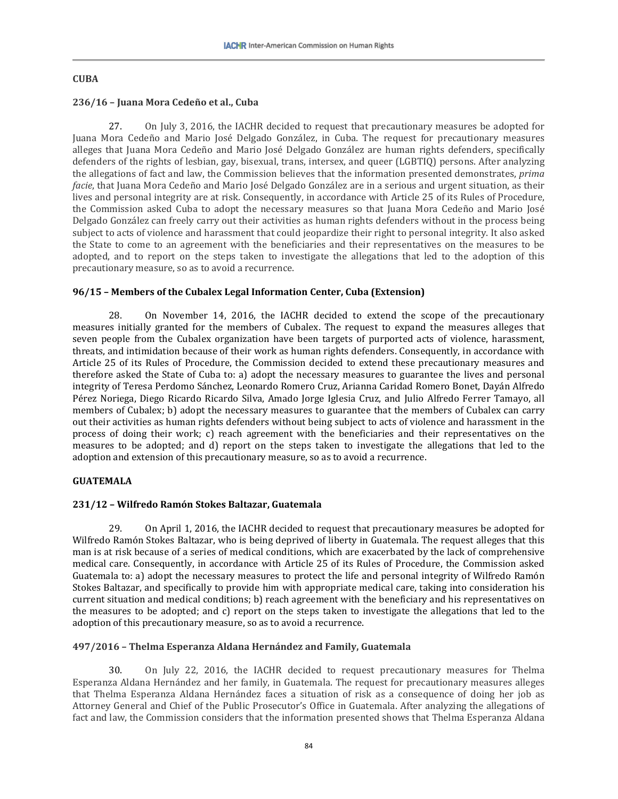### **CUBA**

## **236/16 – Juana Mora Cedeño et al., Cuba**

27. On July 3, 2016, the IACHR decided to request that precautionary measures be adopted for Juana Mora Cedeño and Mario José Delgado González, in Cuba. The request for precautionary measures alleges that Juana Mora Cedeño and Mario José Delgado González are human rights defenders, specifically defenders of the rights of lesbian, gay, bisexual, trans, intersex, and queer (LGBTIQ) persons. After analyzing the allegations of fact and law, the Commission believes that the information presented demonstrates, *prima facie*, that Juana Mora Cedeño and Mario José Delgado González are in a serious and urgent situation, as their lives and personal integrity are at risk. Consequently, in accordance with Article 25 of its Rules of Procedure, the Commission asked Cuba to adopt the necessary measures so that Juana Mora Cedeño and Mario José Delgado González can freely carry out their activities as human rights defenders without in the process being subject to acts of violence and harassment that could jeopardize their right to personal integrity. It also asked the State to come to an agreement with the beneficiaries and their representatives on the measures to be adopted, and to report on the steps taken to investigate the allegations that led to the adoption of this precautionary measure, so as to avoid a recurrence.

## **96/15 – Members of the Cubalex Legal Information Center, Cuba (Extension)**

28. On November 14, 2016, the IACHR decided to extend the scope of the precautionary measures initially granted for the members of Cubalex. The request to expand the measures alleges that seven people from the Cubalex organization have been targets of purported acts of violence, harassment, threats, and intimidation because of their work as human rights defenders. Consequently, in accordance with Article 25 of its Rules of Procedure, the Commission decided to extend these precautionary measures and therefore asked the State of Cuba to: a) adopt the necessary measures to guarantee the lives and personal integrity of Teresa Perdomo Sánchez, Leonardo Romero Cruz, Arianna Caridad Romero Bonet, Dayán Alfredo Pérez Noriega, Diego Ricardo Ricardo Silva, Amado Jorge Iglesia Cruz, and Julio Alfredo Ferrer Tamayo, all members of Cubalex; b) adopt the necessary measures to guarantee that the members of Cubalex can carry out their activities as human rights defenders without being subject to acts of violence and harassment in the process of doing their work; c) reach agreement with the beneficiaries and their representatives on the measures to be adopted; and d) report on the steps taken to investigate the allegations that led to the adoption and extension of this precautionary measure, so as to avoid a recurrence.

### **GUATEMALA**

## **231/12 – Wilfredo Ramón Stokes Baltazar, Guatemala**

29. On April 1, 2016, the IACHR decided to request that precautionary measures be adopted for Wilfredo Ramón Stokes Baltazar, who is being deprived of liberty in Guatemala. The request alleges that this man is at risk because of a series of medical conditions, which are exacerbated by the lack of comprehensive medical care. Consequently, in accordance with Article 25 of its Rules of Procedure, the Commission asked Guatemala to: a) adopt the necessary measures to protect the life and personal integrity of Wilfredo Ramón Stokes Baltazar, and specifically to provide him with appropriate medical care, taking into consideration his current situation and medical conditions; b) reach agreement with the beneficiary and his representatives on the measures to be adopted; and c) report on the steps taken to investigate the allegations that led to the adoption of this precautionary measure, so as to avoid a recurrence.

# **497/2016 – Thelma Esperanza Aldana Hernández and Family, Guatemala**

30. On July 22, 2016, the IACHR decided to request precautionary measures for Thelma Esperanza Aldana Hernández and her family, in Guatemala. The request for precautionary measures alleges that Thelma Esperanza Aldana Hernández faces a situation of risk as a consequence of doing her job as Attorney General and Chief of the Public Prosecutor's Office in Guatemala. After analyzing the allegations of fact and law, the Commission considers that the information presented shows that Thelma Esperanza Aldana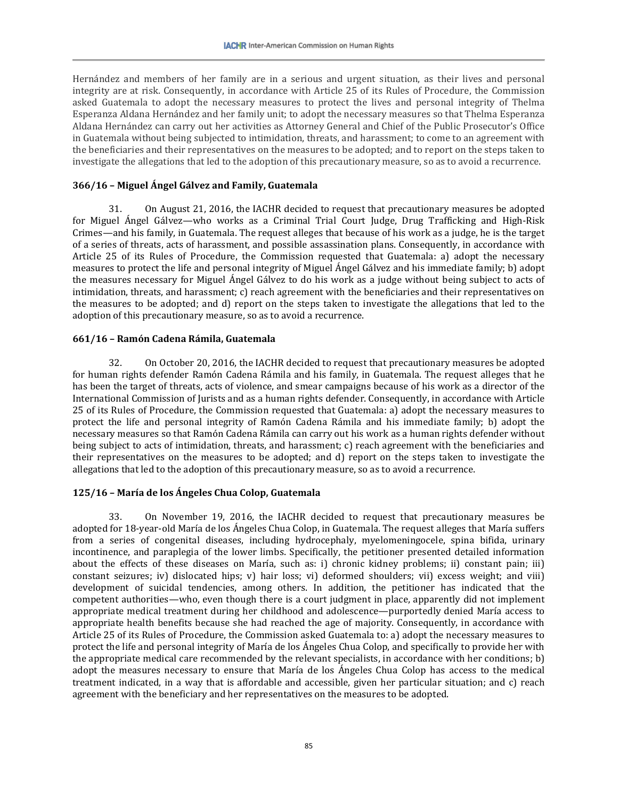Hernández and members of her family are in a serious and urgent situation, as their lives and personal integrity are at risk. Consequently, in accordance with Article 25 of its Rules of Procedure, the Commission asked Guatemala to adopt the necessary measures to protect the lives and personal integrity of Thelma Esperanza Aldana Hernández and her family unit; to adopt the necessary measures so that Thelma Esperanza Aldana Hernández can carry out her activities as Attorney General and Chief of the Public Prosecutor's Office in Guatemala without being subjected to intimidation, threats, and harassment; to come to an agreement with the beneficiaries and their representatives on the measures to be adopted; and to report on the steps taken to investigate the allegations that led to the adoption of this precautionary measure, so as to avoid a recurrence.

## **366/16 – Miguel Ángel Gálvez and Family, Guatemala**

31. On August 21, 2016, the IACHR decided to request that precautionary measures be adopted for Miguel Ángel Gálvez—who works as a Criminal Trial Court Judge, Drug Trafficking and High-Risk Crimes—and his family, in Guatemala. The request alleges that because of his work as a judge, he is the target of a series of threats, acts of harassment, and possible assassination plans. Consequently, in accordance with Article 25 of its Rules of Procedure, the Commission requested that Guatemala: a) adopt the necessary measures to protect the life and personal integrity of Miguel Ángel Gálvez and his immediate family; b) adopt the measures necessary for Miguel Ángel Gálvez to do his work as a judge without being subject to acts of intimidation, threats, and harassment; c) reach agreement with the beneficiaries and their representatives on the measures to be adopted; and d) report on the steps taken to investigate the allegations that led to the adoption of this precautionary measure, so as to avoid a recurrence.

## **661/16 – Ramón Cadena Rámila, Guatemala**

32. On October 20, 2016, the IACHR decided to request that precautionary measures be adopted for human rights defender Ramón Cadena Rámila and his family, in Guatemala. The request alleges that he has been the target of threats, acts of violence, and smear campaigns because of his work as a director of the International Commission of Jurists and as a human rights defender. Consequently, in accordance with Article 25 of its Rules of Procedure, the Commission requested that Guatemala: a) adopt the necessary measures to protect the life and personal integrity of Ramón Cadena Rámila and his immediate family; b) adopt the necessary measures so that Ramón Cadena Rámila can carry out his work as a human rights defender without being subject to acts of intimidation, threats, and harassment; c) reach agreement with the beneficiaries and their representatives on the measures to be adopted; and d) report on the steps taken to investigate the allegations that led to the adoption of this precautionary measure, so as to avoid a recurrence.

# **125/16 – María de los Ángeles Chua Colop, Guatemala**

33. On November 19, 2016, the IACHR decided to request that precautionary measures be adopted for 18-year-old María de los Ángeles Chua Colop, in Guatemala. The request alleges that María suffers from a series of congenital diseases, including hydrocephaly, myelomeningocele, spina bifida, urinary incontinence, and paraplegia of the lower limbs. Specifically, the petitioner presented detailed information about the effects of these diseases on María, such as: i) chronic kidney problems; ii) constant pain; iii) constant seizures; iv) dislocated hips; v) hair loss; vi) deformed shoulders; vii) excess weight; and viii) development of suicidal tendencies, among others. In addition, the petitioner has indicated that the competent authorities—who, even though there is a court judgment in place, apparently did not implement appropriate medical treatment during her childhood and adolescence—purportedly denied María access to appropriate health benefits because she had reached the age of majority. Consequently, in accordance with Article 25 of its Rules of Procedure, the Commission asked Guatemala to: a) adopt the necessary measures to protect the life and personal integrity of María de los Ángeles Chua Colop, and specifically to provide her with the appropriate medical care recommended by the relevant specialists, in accordance with her conditions; b) adopt the measures necessary to ensure that María de los Ángeles Chua Colop has access to the medical treatment indicated, in a way that is affordable and accessible, given her particular situation; and c) reach agreement with the beneficiary and her representatives on the measures to be adopted.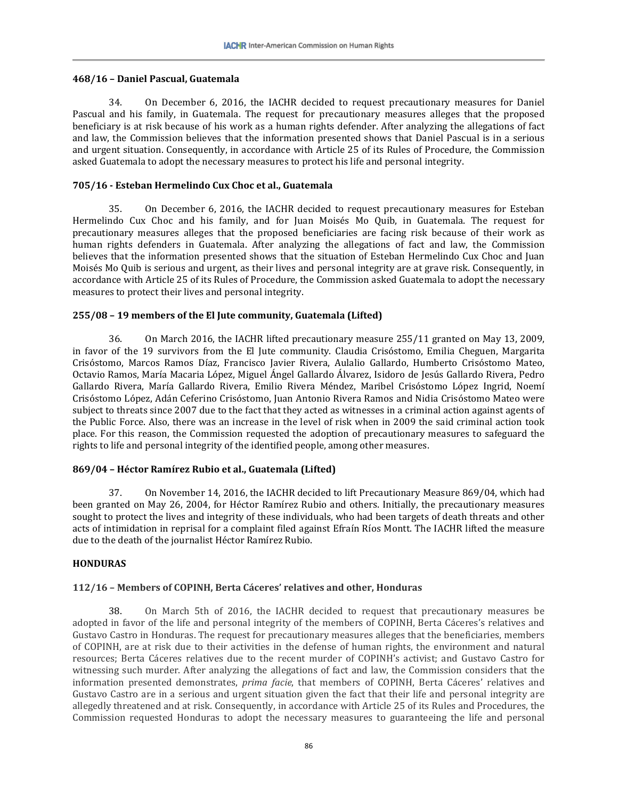### **468/16 – Daniel Pascual, Guatemala**

34. On December 6, 2016, the IACHR decided to request precautionary measures for Daniel Pascual and his family, in Guatemala. The request for precautionary measures alleges that the proposed beneficiary is at risk because of his work as a human rights defender. After analyzing the allegations of fact and law, the Commission believes that the information presented shows that Daniel Pascual is in a serious and urgent situation. Consequently, in accordance with Article 25 of its Rules of Procedure, the Commission asked Guatemala to adopt the necessary measures to protect his life and personal integrity.

# **705/16 - Esteban Hermelindo Cux Choc et al., Guatemala**

35. On December 6, 2016, the IACHR decided to request precautionary measures for Esteban Hermelindo Cux Choc and his family, and for Juan Moisés Mo Quib, in Guatemala. The request for precautionary measures alleges that the proposed beneficiaries are facing risk because of their work as human rights defenders in Guatemala. After analyzing the allegations of fact and law, the Commission believes that the information presented shows that the situation of Esteban Hermelindo Cux Choc and Juan Moisés Mo Quib is serious and urgent, as their lives and personal integrity are at grave risk. Consequently, in accordance with Article 25 of its Rules of Procedure, the Commission asked Guatemala to adopt the necessary measures to protect their lives and personal integrity.

# **255/08 – 19 members of the El Jute community, Guatemala (Lifted)**

36. On March 2016, the IACHR lifted precautionary measure 255/11 granted on May 13, 2009, in favor of the 19 survivors from the El Jute community. Claudia Crisóstomo, Emilia Cheguen, Margarita Crisóstomo, Marcos Ramos Díaz, Francisco Javier Rivera, Aulalio Gallardo, Humberto Crisóstomo Mateo, Octavio Ramos, María Macaria López, Miguel Ángel Gallardo Álvarez, Isidoro de Jesús Gallardo Rivera, Pedro Gallardo Rivera, María Gallardo Rivera, Emilio Rivera Méndez, Maribel Crisóstomo López Ingrid, Noemí Crisóstomo López, Adán Ceferino Crisóstomo, Juan Antonio Rivera Ramos and Nidia Crisóstomo Mateo were subject to threats since 2007 due to the fact that they acted as witnesses in a criminal action against agents of the Public Force. Also, there was an increase in the level of risk when in 2009 the said criminal action took place. For this reason, the Commission requested the adoption of precautionary measures to safeguard the rights to life and personal integrity of the identified people, among other measures.

# **869/04 – Héctor Ramírez Rubio et al., Guatemala (Lifted)**

37. On November 14, 2016, the IACHR decided to lift Precautionary Measure 869/04, which had been granted on May 26, 2004, for Héctor Ramírez Rubio and others. Initially, the precautionary measures sought to protect the lives and integrity of these individuals, who had been targets of death threats and other acts of intimidation in reprisal for a complaint filed against Efraín Ríos Montt. The IACHR lifted the measure due to the death of the journalist Héctor Ramírez Rubio.

# **HONDURAS**

# **112/16 – Members of COPINH, Berta Cáceres' relatives and other, Honduras**

38. On March 5th of 2016, the IACHR decided to request that precautionary measures be adopted in favor of the life and personal integrity of the members of COPINH, Berta Cáceres's relatives and Gustavo Castro in Honduras. The request for precautionary measures alleges that the beneficiaries, members of COPINH, are at risk due to their activities in the defense of human rights, the environment and natural resources; Berta Cáceres relatives due to the recent murder of COPINH's activist; and Gustavo Castro for witnessing such murder. After analyzing the allegations of fact and law, the Commission considers that the information presented demonstrates, *prima facie*, that members of COPINH, Berta Cáceres' relatives and Gustavo Castro are in a serious and urgent situation given the fact that their life and personal integrity are allegedly threatened and at risk. Consequently, in accordance with Article 25 of its Rules and Procedures, the Commission requested Honduras to adopt the necessary measures to guaranteeing the life and personal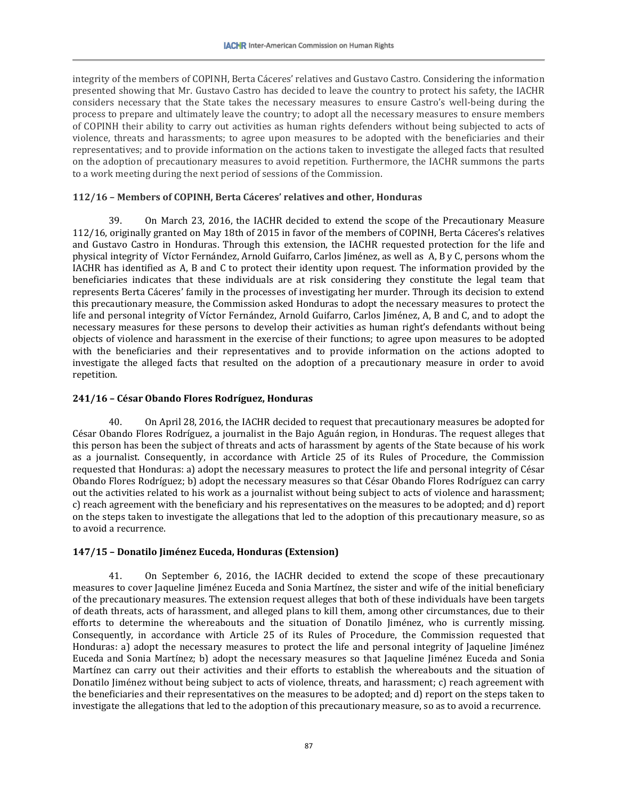integrity of the members of COPINH, Berta Cáceres' relatives and Gustavo Castro. Considering the information presented showing that Mr. Gustavo Castro has decided to leave the country to protect his safety, the IACHR considers necessary that the State takes the necessary measures to ensure Castro's well-being during the process to prepare and ultimately leave the country; to adopt all the necessary measures to ensure members of COPINH their ability to carry out activities as human rights defenders without being subjected to acts of violence, threats and harassments; to agree upon measures to be adopted with the beneficiaries and their representatives; and to provide information on the actions taken to investigate the alleged facts that resulted on the adoption of precautionary measures to avoid repetition. Furthermore, the IACHR summons the parts to a work meeting during the next period of sessions of the Commission.

# **112/16 – Members of COPINH, Berta Cáceres' relatives and other, Honduras**

39. On March 23, 2016, the IACHR decided to extend the scope of the Precautionary Measure 112/16, originally granted on May 18th of 2015 in favor of the members of COPINH, Berta Cáceres's relatives and Gustavo Castro in Honduras. Through this extension, the IACHR requested protection for the life and physical integrity of Víctor Fernández, Arnold Guifarro, Carlos Jiménez, as well as A, B y C, persons whom the IACHR has identified as A, B and C to protect their identity upon request. The information provided by the beneficiaries indicates that these individuals are at risk considering they constitute the legal team that represents Berta Cáceres' family in the processes of investigating her murder. Through its decision to extend this precautionary measure, the Commission asked Honduras to adopt the necessary measures to protect the life and personal integrity of Víctor Fernández, Arnold Guifarro, Carlos Jiménez, A, B and C, and to adopt the necessary measures for these persons to develop their activities as human right's defendants without being objects of violence and harassment in the exercise of their functions; to agree upon measures to be adopted with the beneficiaries and their representatives and to provide information on the actions adopted to investigate the alleged facts that resulted on the adoption of a precautionary measure in order to avoid repetition.

## **241/16 – César Obando Flores Rodríguez, Honduras**

40. On April 28, 2016, the IACHR decided to request that precautionary measures be adopted for César Obando Flores Rodríguez, a journalist in the Bajo Aguán region, in Honduras. The request alleges that this person has been the subject of threats and acts of harassment by agents of the State because of his work as a journalist. Consequently, in accordance with Article 25 of its Rules of Procedure, the Commission requested that Honduras: a) adopt the necessary measures to protect the life and personal integrity of César Obando Flores Rodríguez; b) adopt the necessary measures so that César Obando Flores Rodríguez can carry out the activities related to his work as a journalist without being subject to acts of violence and harassment; c) reach agreement with the beneficiary and his representatives on the measures to be adopted; and d) report on the steps taken to investigate the allegations that led to the adoption of this precautionary measure, so as to avoid a recurrence.

# **147/15 – Donatilo Jiménez Euceda, Honduras (Extension)**

41. On September 6, 2016, the IACHR decided to extend the scope of these precautionary measures to cover Jaqueline Jiménez Euceda and Sonia Martínez, the sister and wife of the initial beneficiary of the precautionary measures. The extension request alleges that both of these individuals have been targets of death threats, acts of harassment, and alleged plans to kill them, among other circumstances, due to their efforts to determine the whereabouts and the situation of Donatilo Jiménez, who is currently missing. Consequently, in accordance with Article 25 of its Rules of Procedure, the Commission requested that Honduras: a) adopt the necessary measures to protect the life and personal integrity of Jaqueline Jiménez Euceda and Sonia Martínez; b) adopt the necessary measures so that Jaqueline Jiménez Euceda and Sonia Martínez can carry out their activities and their efforts to establish the whereabouts and the situation of Donatilo Jiménez without being subject to acts of violence, threats, and harassment; c) reach agreement with the beneficiaries and their representatives on the measures to be adopted; and d) report on the steps taken to investigate the allegations that led to the adoption of this precautionary measure, so as to avoid a recurrence.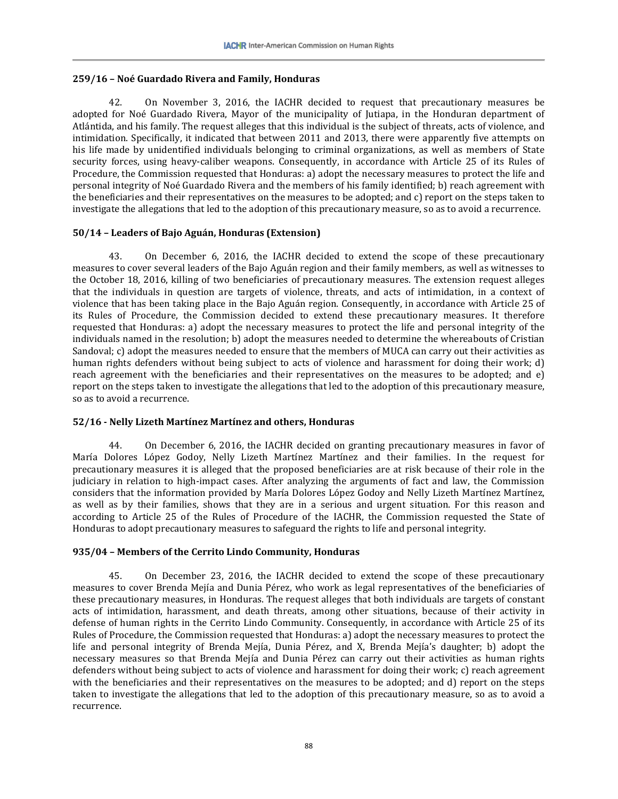### **259/16 – Noé Guardado Rivera and Family, Honduras**

42. On November 3, 2016, the IACHR decided to request that precautionary measures be adopted for Noé Guardado Rivera, Mayor of the municipality of Jutiapa, in the Honduran department of Atlántida, and his family. The request alleges that this individual is the subject of threats, acts of violence, and intimidation. Specifically, it indicated that between 2011 and 2013, there were apparently five attempts on his life made by unidentified individuals belonging to criminal organizations, as well as members of State security forces, using heavy-caliber weapons. Consequently, in accordance with Article 25 of its Rules of Procedure, the Commission requested that Honduras: a) adopt the necessary measures to protect the life and personal integrity of Noé Guardado Rivera and the members of his family identified; b) reach agreement with the beneficiaries and their representatives on the measures to be adopted; and c) report on the steps taken to investigate the allegations that led to the adoption of this precautionary measure, so as to avoid a recurrence.

## **50/14 – Leaders of Bajo Aguán, Honduras (Extension)**

43. On December 6, 2016, the IACHR decided to extend the scope of these precautionary measures to cover several leaders of the Bajo Aguán region and their family members, as well as witnesses to the October 18, 2016, killing of two beneficiaries of precautionary measures. The extension request alleges that the individuals in question are targets of violence, threats, and acts of intimidation, in a context of violence that has been taking place in the Bajo Aguán region. Consequently, in accordance with Article 25 of its Rules of Procedure, the Commission decided to extend these precautionary measures. It therefore requested that Honduras: a) adopt the necessary measures to protect the life and personal integrity of the individuals named in the resolution; b) adopt the measures needed to determine the whereabouts of Cristian Sandoval; c) adopt the measures needed to ensure that the members of MUCA can carry out their activities as human rights defenders without being subject to acts of violence and harassment for doing their work; d) reach agreement with the beneficiaries and their representatives on the measures to be adopted; and e) report on the steps taken to investigate the allegations that led to the adoption of this precautionary measure, so as to avoid a recurrence.

# **52/16 - Nelly Lizeth Martínez Martínez and others, Honduras**

44. On December 6, 2016, the IACHR decided on granting precautionary measures in favor of María Dolores López Godoy, Nelly Lizeth Martínez Martínez and their families. In the request for precautionary measures it is alleged that the proposed beneficiaries are at risk because of their role in the judiciary in relation to high-impact cases. After analyzing the arguments of fact and law, the Commission considers that the information provided by María Dolores López Godoy and Nelly Lizeth Martínez Martínez, as well as by their families, shows that they are in a serious and urgent situation. For this reason and according to Article 25 of the Rules of Procedure of the IACHR, the Commission requested the State of Honduras to adopt precautionary measures to safeguard the rights to life and personal integrity.

# **935/04 – Members of the Cerrito Lindo Community, Honduras**

45. On December 23, 2016, the IACHR decided to extend the scope of these precautionary measures to cover Brenda Mejía and Dunia Pérez, who work as legal representatives of the beneficiaries of these precautionary measures, in Honduras. The request alleges that both individuals are targets of constant acts of intimidation, harassment, and death threats, among other situations, because of their activity in defense of human rights in the Cerrito Lindo Community. Consequently, in accordance with Article 25 of its Rules of Procedure, the Commission requested that Honduras: a) adopt the necessary measures to protect the life and personal integrity of Brenda Mejía, Dunia Pérez, and X, Brenda Mejía's daughter; b) adopt the necessary measures so that Brenda Mejía and Dunia Pérez can carry out their activities as human rights defenders without being subject to acts of violence and harassment for doing their work; c) reach agreement with the beneficiaries and their representatives on the measures to be adopted; and d) report on the steps taken to investigate the allegations that led to the adoption of this precautionary measure, so as to avoid a recurrence.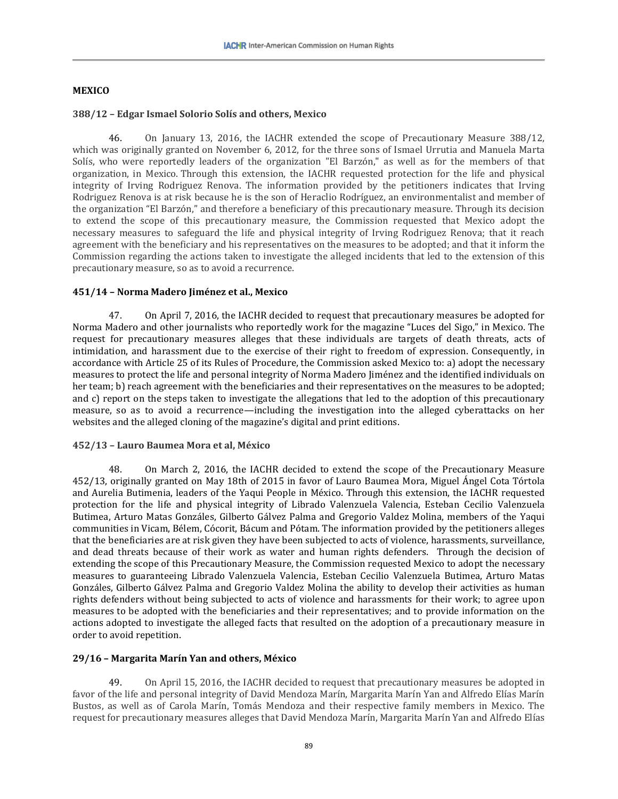## **MEXICO**

### **388/12 – Edgar Ismael Solorio Solís and others, Mexico**

46. On January 13, 2016, the IACHR extended the scope of Precautionary Measure 388/12, which was originally granted on November 6, 2012, for the three sons of Ismael Urrutia and Manuela Marta Solís, who were reportedly leaders of the organization "El Barzón," as well as for the members of that organization, in Mexico. Through this extension, the IACHR requested protection for the life and physical integrity of Irving Rodriguez Renova. The information provided by the petitioners indicates that Irving Rodriguez Renova is at risk because he is the son of Heraclio Rodríguez, an environmentalist and member of the organization "El Barzón," and therefore a beneficiary of this precautionary measure. Through its decision to extend the scope of this precautionary measure, the Commission requested that Mexico adopt the necessary measures to safeguard the life and physical integrity of Irving Rodriguez Renova; that it reach agreement with the beneficiary and his representatives on the measures to be adopted; and that it inform the Commission regarding the actions taken to investigate the alleged incidents that led to the extension of this precautionary measure, so as to avoid a recurrence.

## **451/14 – Norma Madero Jiménez et al., Mexico**

47. On April 7, 2016, the IACHR decided to request that precautionary measures be adopted for Norma Madero and other journalists who reportedly work for the magazine "Luces del Sigo," in Mexico. The request for precautionary measures alleges that these individuals are targets of death threats, acts of intimidation, and harassment due to the exercise of their right to freedom of expression. Consequently, in accordance with Article 25 of its Rules of Procedure, the Commission asked Mexico to: a) adopt the necessary measures to protect the life and personal integrity of Norma Madero Jiménez and the identified individuals on her team; b) reach agreement with the beneficiaries and their representatives on the measures to be adopted; and c) report on the steps taken to investigate the allegations that led to the adoption of this precautionary measure, so as to avoid a recurrence—including the investigation into the alleged cyberattacks on her websites and the alleged cloning of the magazine's digital and print editions.

# **452/13 – Lauro Baumea Mora et al, México**

48. On March 2, 2016, the IACHR decided to extend the scope of the Precautionary Measure 452/13, originally granted on May 18th of 2015 in favor of Lauro Baumea Mora, Miguel Ángel Cota Tórtola and Aurelia Butimenia, leaders of the Yaqui People in México. Through this extension, the IACHR requested protection for the life and physical integrity of Librado Valenzuela Valencia, Esteban Cecilio Valenzuela Butimea, Arturo Matas Gonzáles, Gilberto Gálvez Palma and Gregorio Valdez Molina, members of the Yaqui communities in Vicam, Bélem, Cócorit, Bácum and Pótam. The information provided by the petitioners alleges that the beneficiaries are at risk given they have been subjected to acts of violence, harassments, surveillance, and dead threats because of their work as water and human rights defenders. Through the decision of extending the scope of this Precautionary Measure, the Commission requested Mexico to adopt the necessary measures to guaranteeing Librado Valenzuela Valencia, Esteban Cecilio Valenzuela Butimea, Arturo Matas Gonzáles, Gilberto Gálvez Palma and Gregorio Valdez Molina the ability to develop their activities as human rights defenders without being subjected to acts of violence and harassments for their work; to agree upon measures to be adopted with the beneficiaries and their representatives; and to provide information on the actions adopted to investigate the alleged facts that resulted on the adoption of a precautionary measure in order to avoid repetition.

# **29/16 – Margarita Marín Yan and others, México**

49. On April 15, 2016, the IACHR decided to request that precautionary measures be adopted in favor of the life and personal integrity of David Mendoza Marín, Margarita Marín Yan and Alfredo Elías Marín Bustos, as well as of Carola Marín, Tomás Mendoza and their respective family members in Mexico. The request for precautionary measures alleges that David Mendoza Marín, Margarita Marín Yan and Alfredo Elías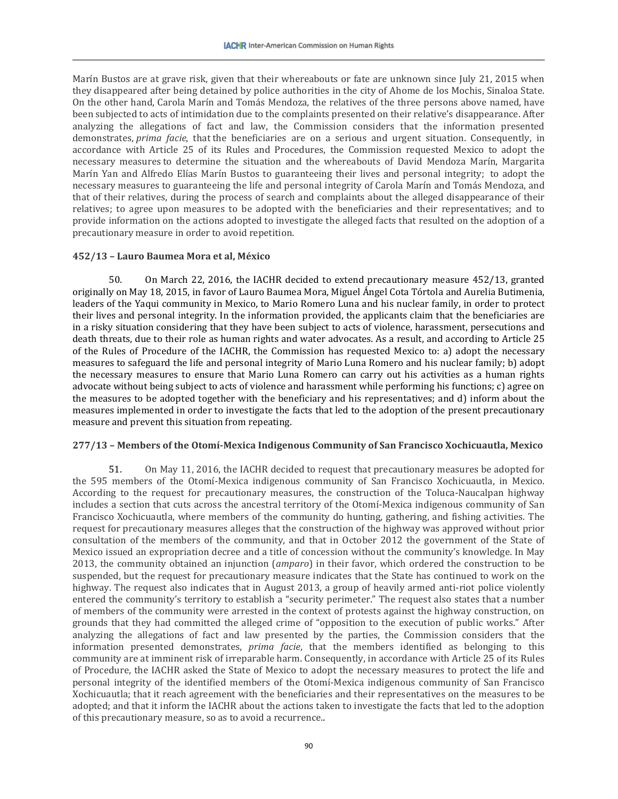Marín Bustos are at grave risk, given that their whereabouts or fate are unknown since July 21, 2015 when they disappeared after being detained by police authorities in the city of Ahome de los Mochis, Sinaloa State. On the other hand, Carola Marín and Tomás Mendoza, the relatives of the three persons above named, have been subjected to acts of intimidation due to the complaints presented on their relative's disappearance. After analyzing the allegations of fact and law, the Commission considers that the information presented demonstrates, *prima facie*, that the beneficiaries are on a serious and urgent situation. Consequently, in accordance with Article 25 of its Rules and Procedures, the Commission requested Mexico to adopt the necessary measures to determine the situation and the whereabouts of David Mendoza Marín, Margarita Marín Yan and Alfredo Elías Marín Bustos to guaranteeing their lives and personal integrity; to adopt the necessary measures to guaranteeing the life and personal integrity of Carola Marín and Tomás Mendoza, and that of their relatives, during the process of search and complaints about the alleged disappearance of their relatives; to agree upon measures to be adopted with the beneficiaries and their representatives; and to provide information on the actions adopted to investigate the alleged facts that resulted on the adoption of a precautionary measure in order to avoid repetition.

## **452/13 – Lauro Baumea Mora et al, México**

50. On March 22, 2016, the IACHR decided to extend precautionary measure 452/13, granted originally on May 18, 2015, in favor of Lauro Baumea Mora, Miguel Ángel Cota Tórtola and Aurelia Butimenia, leaders of the Yaqui community in Mexico, to Mario Romero Luna and his nuclear family, in order to protect their lives and personal integrity. In the information provided, the applicants claim that the beneficiaries are in a risky situation considering that they have been subject to acts of violence, harassment, persecutions and death threats, due to their role as human rights and water advocates. As a result, and according to Article 25 of the Rules of Procedure of the IACHR, the Commission has requested Mexico to: a) adopt the necessary measures to safeguard the life and personal integrity of Mario Luna Romero and his nuclear family; b) adopt the necessary measures to ensure that Mario Luna Romero can carry out his activities as a human rights advocate without being subject to acts of violence and harassment while performing his functions; c) agree on the measures to be adopted together with the beneficiary and his representatives; and d) inform about the measures implemented in order to investigate the facts that led to the adoption of the present precautionary measure and prevent this situation from repeating.

### **277/13 – Members of the Otomí-Mexica Indigenous Community of San Francisco Xochicuautla, Mexico**

51. On May 11, 2016, the IACHR decided to request that precautionary measures be adopted for the 595 members of the Otomí-Mexica indigenous community of San Francisco Xochicuautla, in Mexico. According to the request for precautionary measures, the construction of the Toluca-Naucalpan highway includes a section that cuts across the ancestral territory of the Otomí-Mexica indigenous community of San Francisco Xochicuautla, where members of the community do hunting, gathering, and fishing activities. The request for precautionary measures alleges that the construction of the highway was approved without prior consultation of the members of the community, and that in October 2012 the government of the State of Mexico issued an expropriation decree and a title of concession without the community's knowledge. In May 2013, the community obtained an injunction (*amparo*) in their favor, which ordered the construction to be suspended, but the request for precautionary measure indicates that the State has continued to work on the highway. The request also indicates that in August 2013, a group of heavily armed anti-riot police violently entered the community's territory to establish a "security perimeter." The request also states that a number of members of the community were arrested in the context of protests against the highway construction, on grounds that they had committed the alleged crime of "opposition to the execution of public works." After analyzing the allegations of fact and law presented by the parties, the Commission considers that the information presented demonstrates, *prima facie*, that the members identified as belonging to this community are at imminent risk of irreparable harm. Consequently, in accordance with Article 25 of its Rules of Procedure, the IACHR asked the State of Mexico to adopt the necessary measures to protect the life and personal integrity of the identified members of the Otomí-Mexica indigenous community of San Francisco Xochicuautla; that it reach agreement with the beneficiaries and their representatives on the measures to be adopted; and that it inform the IACHR about the actions taken to investigate the facts that led to the adoption of this precautionary measure, so as to avoid a recurrence..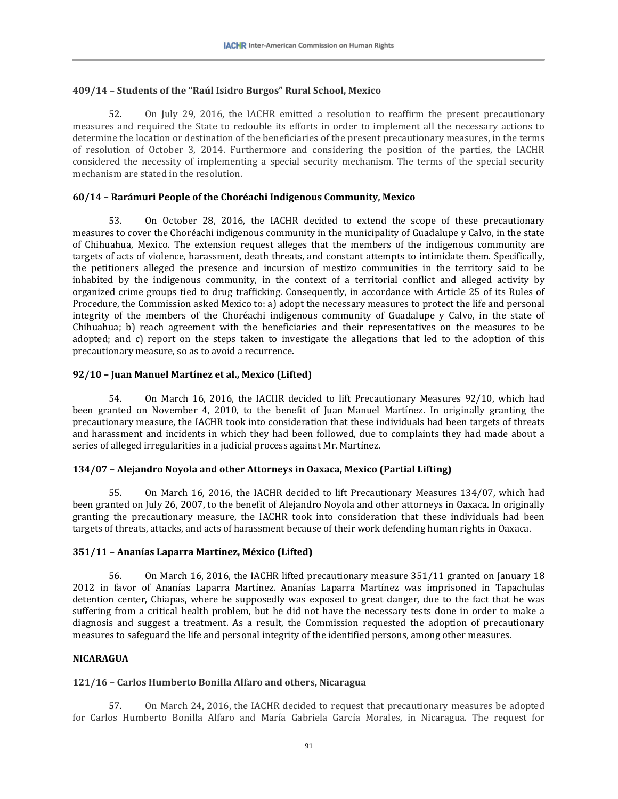## **409/14 – Students of the "Raúl Isidro Burgos" Rural School, Mexico**

52. On July 29, 2016, the IACHR emitted a resolution to reaffirm the present precautionary measures and required the State to redouble its efforts in order to implement all the necessary actions to determine the location or destination of the beneficiaries of the present precautionary measures, in the terms of resolution of October 3, 2014. Furthermore and considering the position of the parties, the IACHR considered the necessity of implementing a special security mechanism. The terms of the special security mechanism are stated in the resolution.

## **60/14 – Rarámuri People of the Choréachi Indigenous Community, Mexico**

53. On October 28, 2016, the IACHR decided to extend the scope of these precautionary measures to cover the Choréachi indigenous community in the municipality of Guadalupe y Calvo, in the state of Chihuahua, Mexico. The extension request alleges that the members of the indigenous community are targets of acts of violence, harassment, death threats, and constant attempts to intimidate them. Specifically, the petitioners alleged the presence and incursion of mestizo communities in the territory said to be inhabited by the indigenous community, in the context of a territorial conflict and alleged activity by organized crime groups tied to drug trafficking. Consequently, in accordance with Article 25 of its Rules of Procedure, the Commission asked Mexico to: a) adopt the necessary measures to protect the life and personal integrity of the members of the Choréachi indigenous community of Guadalupe y Calvo, in the state of Chihuahua; b) reach agreement with the beneficiaries and their representatives on the measures to be adopted; and c) report on the steps taken to investigate the allegations that led to the adoption of this precautionary measure, so as to avoid a recurrence.

## **92/10 – Juan Manuel Martínez et al., Mexico (Lifted)**

54. On March 16, 2016, the IACHR decided to lift Precautionary Measures 92/10, which had been granted on November 4, 2010, to the benefit of Juan Manuel Martínez. In originally granting the precautionary measure, the IACHR took into consideration that these individuals had been targets of threats and harassment and incidents in which they had been followed, due to complaints they had made about a series of alleged irregularities in a judicial process against Mr. Martínez.

### **134/07 – Alejandro Noyola and other Attorneys in Oaxaca, Mexico (Partial Lifting)**

55. On March 16, 2016, the IACHR decided to lift Precautionary Measures 134/07, which had been granted on July 26, 2007, to the benefit of Alejandro Noyola and other attorneys in Oaxaca. In originally granting the precautionary measure, the IACHR took into consideration that these individuals had been targets of threats, attacks, and acts of harassment because of their work defending human rights in Oaxaca.

# **351/11 – Ananías Laparra Martínez, México (Lifted)**

56. On March 16, 2016, the IACHR lifted precautionary measure 351/11 granted on January 18 2012 in favor of Ananías Laparra Martínez. Ananías Laparra Martínez was imprisoned in Tapachulas detention center, Chiapas, where he supposedly was exposed to great danger, due to the fact that he was suffering from a critical health problem, but he did not have the necessary tests done in order to make a diagnosis and suggest a treatment. As a result, the Commission requested the adoption of precautionary measures to safeguard the life and personal integrity of the identified persons, among other measures.

### **NICARAGUA**

### **121/16 – Carlos Humberto Bonilla Alfaro and others, Nicaragua**

57. On March 24, 2016, the IACHR decided to request that precautionary measures be adopted for Carlos Humberto Bonilla Alfaro and María Gabriela García Morales, in Nicaragua. The request for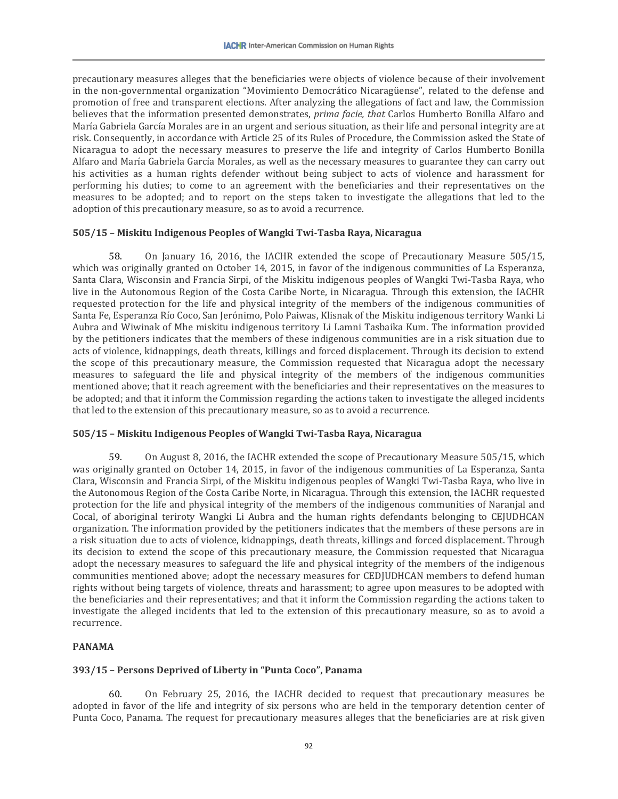precautionary measures alleges that the beneficiaries were objects of violence because of their involvement in the non-governmental organization "Movimiento Democrático Nicaragüense", related to the defense and promotion of free and transparent elections. After analyzing the allegations of fact and law, the Commission believes that the information presented demonstrates, *prima facie, that* Carlos Humberto Bonilla Alfaro and María Gabriela García Morales are in an urgent and serious situation, as their life and personal integrity are at risk. Consequently, in accordance with Article 25 of its Rules of Procedure, the Commission asked the State of Nicaragua to adopt the necessary measures to preserve the life and integrity of Carlos Humberto Bonilla Alfaro and María Gabriela García Morales, as well as the necessary measures to guarantee they can carry out his activities as a human rights defender without being subject to acts of violence and harassment for performing his duties; to come to an agreement with the beneficiaries and their representatives on the measures to be adopted; and to report on the steps taken to investigate the allegations that led to the adoption of this precautionary measure, so as to avoid a recurrence.

# **505/15 – Miskitu Indigenous Peoples of Wangki Twi-Tasba Raya, Nicaragua**

58. On January 16, 2016, the IACHR extended the scope of Precautionary Measure 505/15, which was originally granted on October 14, 2015, in favor of the indigenous communities of La Esperanza, Santa Clara, Wisconsin and Francia Sirpi, of the Miskitu indigenous peoples of Wangki Twi-Tasba Raya, who live in the Autonomous Region of the Costa Caribe Norte, in Nicaragua. Through this extension, the IACHR requested protection for the life and physical integrity of the members of the indigenous communities of Santa Fe, Esperanza Río Coco, San Jerónimo, Polo Paiwas, Klisnak of the Miskitu indigenous territory Wanki Li Aubra and Wiwinak of Mhe miskitu indigenous territory Li Lamni Tasbaika Kum. The information provided by the petitioners indicates that the members of these indigenous communities are in a risk situation due to acts of violence, kidnappings, death threats, killings and forced displacement. Through its decision to extend the scope of this precautionary measure, the Commission requested that Nicaragua adopt the necessary measures to safeguard the life and physical integrity of the members of the indigenous communities mentioned above; that it reach agreement with the beneficiaries and their representatives on the measures to be adopted; and that it inform the Commission regarding the actions taken to investigate the alleged incidents that led to the extension of this precautionary measure, so as to avoid a recurrence.

### **505/15 – Miskitu Indigenous Peoples of Wangki Twi-Tasba Raya, Nicaragua**

59. On August 8, 2016, the IACHR extended the scope of Precautionary Measure 505/15, which was originally granted on October 14, 2015, in favor of the indigenous communities of La Esperanza, Santa Clara, Wisconsin and Francia Sirpi, of the Miskitu indigenous peoples of Wangki Twi-Tasba Raya, who live in the Autonomous Region of the Costa Caribe Norte, in Nicaragua. Through this extension, the IACHR requested protection for the life and physical integrity of the members of the indigenous communities of Naranjal and Cocal, of aboriginal teriroty Wangki Li Aubra and the human rights defendants belonging to CEJUDHCAN organization. The information provided by the petitioners indicates that the members of these persons are in a risk situation due to acts of violence, kidnappings, death threats, killings and forced displacement. Through its decision to extend the scope of this precautionary measure, the Commission requested that Nicaragua adopt the necessary measures to safeguard the life and physical integrity of the members of the indigenous communities mentioned above; adopt the necessary measures for CEDJUDHCAN members to defend human rights without being targets of violence, threats and harassment; to agree upon measures to be adopted with the beneficiaries and their representatives; and that it inform the Commission regarding the actions taken to investigate the alleged incidents that led to the extension of this precautionary measure, so as to avoid a recurrence.

# **PANAMA**

### **393/15 – Persons Deprived of Liberty in "Punta Coco", Panama**

60. On February 25, 2016, the IACHR decided to request that precautionary measures be adopted in favor of the life and integrity of six persons who are held in the temporary detention center of Punta Coco, Panama. The request for precautionary measures alleges that the beneficiaries are at risk given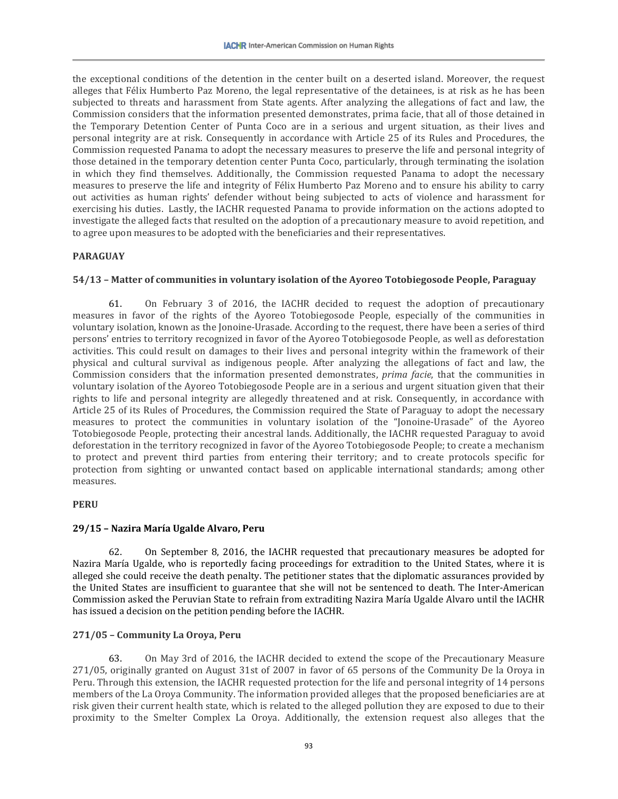the exceptional conditions of the detention in the center built on a deserted island. Moreover, the request alleges that Félix Humberto Paz Moreno, the legal representative of the detainees, is at risk as he has been subjected to threats and harassment from State agents. After analyzing the allegations of fact and law, the Commission considers that the information presented demonstrates, prima facie, that all of those detained in the Temporary Detention Center of Punta Coco are in a serious and urgent situation, as their lives and personal integrity are at risk. Consequently in accordance with Article 25 of its Rules and Procedures, the Commission requested Panama to adopt the necessary measures to preserve the life and personal integrity of those detained in the temporary detention center Punta Coco, particularly, through terminating the isolation in which they find themselves. Additionally, the Commission requested Panama to adopt the necessary measures to preserve the life and integrity of Félix Humberto Paz Moreno and to ensure his ability to carry out activities as human rights' defender without being subjected to acts of violence and harassment for exercising his duties. Lastly, the IACHR requested Panama to provide information on the actions adopted to investigate the alleged facts that resulted on the adoption of a precautionary measure to avoid repetition, and to agree upon measures to be adopted with the beneficiaries and their representatives.

## **PARAGUAY**

## **54/13 – Matter of communities in voluntary isolation of the Ayoreo Totobiegosode People, Paraguay**

61. On February 3 of 2016, the IACHR decided to request the adoption of precautionary measures in favor of the rights of the Ayoreo Totobiegosode People, especially of the communities in voluntary isolation, known as the Jonoine-Urasade. According to the request, there have been a series of third persons' entries to territory recognized in favor of the Ayoreo Totobiegosode People, as well as deforestation activities. This could result on damages to their lives and personal integrity within the framework of their physical and cultural survival as indigenous people. After analyzing the allegations of fact and law, the Commission considers that the information presented demonstrates, *prima facie*, that the communities in voluntary isolation of the Ayoreo Totobiegosode People are in a serious and urgent situation given that their rights to life and personal integrity are allegedly threatened and at risk. Consequently, in accordance with Article 25 of its Rules of Procedures, the Commission required the State of Paraguay to adopt the necessary measures to protect the communities in voluntary isolation of the "Jonoine-Urasade" of the Ayoreo Totobiegosode People, protecting their ancestral lands. Additionally, the IACHR requested Paraguay to avoid deforestation in the territory recognized in favor of the Ayoreo Totobiegosode People; to create a mechanism to protect and prevent third parties from entering their territory; and to create protocols specific for protection from sighting or unwanted contact based on applicable international standards; among other measures.

### **PERU**

### **29/15 – Nazira María Ugalde Alvaro, Peru**

62. On September 8, 2016, the IACHR requested that precautionary measures be adopted for Nazira María Ugalde, who is reportedly facing proceedings for extradition to the United States, where it is alleged she could receive the death penalty. The petitioner states that the diplomatic assurances provided by the United States are insufficient to guarantee that she will not be sentenced to death. The Inter-American Commission asked the Peruvian State to refrain from extraditing Nazira María Ugalde Alvaro until the IACHR has issued a decision on the petition pending before the IACHR.

# **271/05 – Community La Oroya, Peru**

63. On May 3rd of 2016, the IACHR decided to extend the scope of the Precautionary Measure 271/05, originally granted on August 31st of 2007 in favor of 65 persons of the Community De la Oroya in Peru. Through this extension, the IACHR requested protection for the life and personal integrity of 14 persons members of the La Oroya Community. The information provided alleges that the proposed beneficiaries are at risk given their current health state, which is related to the alleged pollution they are exposed to due to their proximity to the Smelter Complex La Oroya. Additionally, the extension request also alleges that the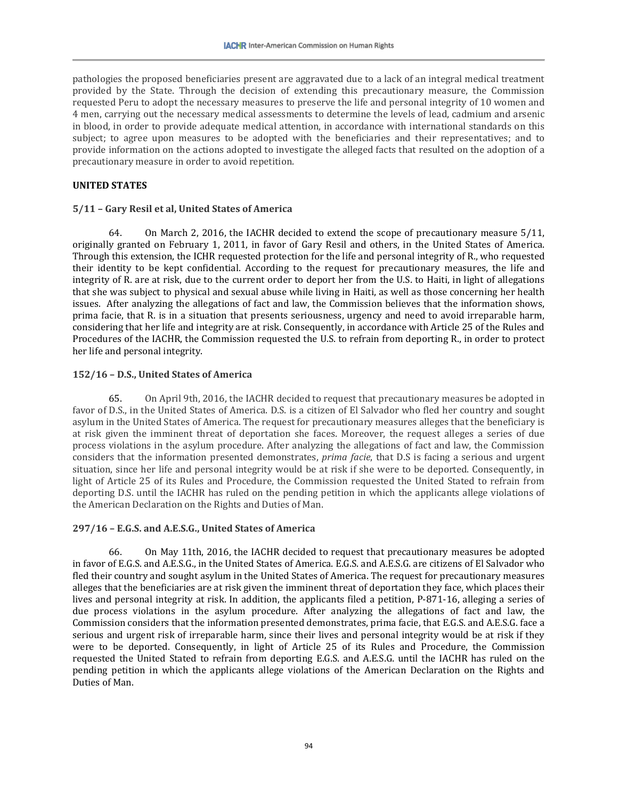pathologies the proposed beneficiaries present are aggravated due to a lack of an integral medical treatment provided by the State. Through the decision of extending this precautionary measure, the Commission requested Peru to adopt the necessary measures to preserve the life and personal integrity of 10 women and 4 men, carrying out the necessary medical assessments to determine the levels of lead, cadmium and arsenic in blood, in order to provide adequate medical attention, in accordance with international standards on this subject; to agree upon measures to be adopted with the beneficiaries and their representatives; and to provide information on the actions adopted to investigate the alleged facts that resulted on the adoption of a precautionary measure in order to avoid repetition.

## **UNITED STATES**

## **5/11 – Gary Resil et al, United States of America**

64. On March 2, 2016, the IACHR decided to extend the scope of precautionary measure 5/11, originally granted on February 1, 2011, in favor of Gary Resil and others, in the United States of America. Through this extension, the ICHR requested protection for the life and personal integrity of R., who requested their identity to be kept confidential. According to the request for precautionary measures, the life and integrity of R. are at risk, due to the current order to deport her from the U.S. to Haiti, in light of allegations that she was subject to physical and sexual abuse while living in Haiti, as well as those concerning her health issues. After analyzing the allegations of fact and law, the Commission believes that the information shows, prima facie, that R. is in a situation that presents seriousness, urgency and need to avoid irreparable harm, considering that her life and integrity are at risk. Consequently, in accordance with Article 25 of the Rules and Procedures of the IACHR, the Commission requested the U.S. to refrain from deporting R., in order to protect her life and personal integrity.

## **152/16 – D.S., United States of America**

65. On April 9th, 2016, the IACHR decided to request that precautionary measures be adopted in favor of D.S., in the United States of America. D.S. is a citizen of El Salvador who fled her country and sought asylum in the United States of America. The request for precautionary measures alleges that the beneficiary is at risk given the imminent threat of deportation she faces. Moreover, the request alleges a series of due process violations in the asylum procedure. After analyzing the allegations of fact and law, the Commission considers that the information presented demonstrates, *prima facie*, that D.S is facing a serious and urgent situation, since her life and personal integrity would be at risk if she were to be deported. Consequently, in light of Article 25 of its Rules and Procedure, the Commission requested the United Stated to refrain from deporting D.S. until the IACHR has ruled on the pending petition in which the applicants allege violations of the American Declaration on the Rights and Duties of Man.

### **297/16 – E.G.S. and A.E.S.G., United States of America**

66. On May 11th, 2016, the IACHR decided to request that precautionary measures be adopted in favor of E.G.S. and A.E.S.G., in the United States of America. E.G.S. and A.E.S.G. are citizens of El Salvador who fled their country and sought asylum in the United States of America. The request for precautionary measures alleges that the beneficiaries are at risk given the imminent threat of deportation they face, which places their lives and personal integrity at risk. In addition, the applicants filed a petition, P-871-16, alleging a series of due process violations in the asylum procedure. After analyzing the allegations of fact and law, the Commission considers that the information presented demonstrates, prima facie, that E.G.S. and A.E.S.G. face a serious and urgent risk of irreparable harm, since their lives and personal integrity would be at risk if they were to be deported. Consequently, in light of Article 25 of its Rules and Procedure, the Commission requested the United Stated to refrain from deporting E.G.S. and A.E.S.G. until the IACHR has ruled on the pending petition in which the applicants allege violations of the American Declaration on the Rights and Duties of Man.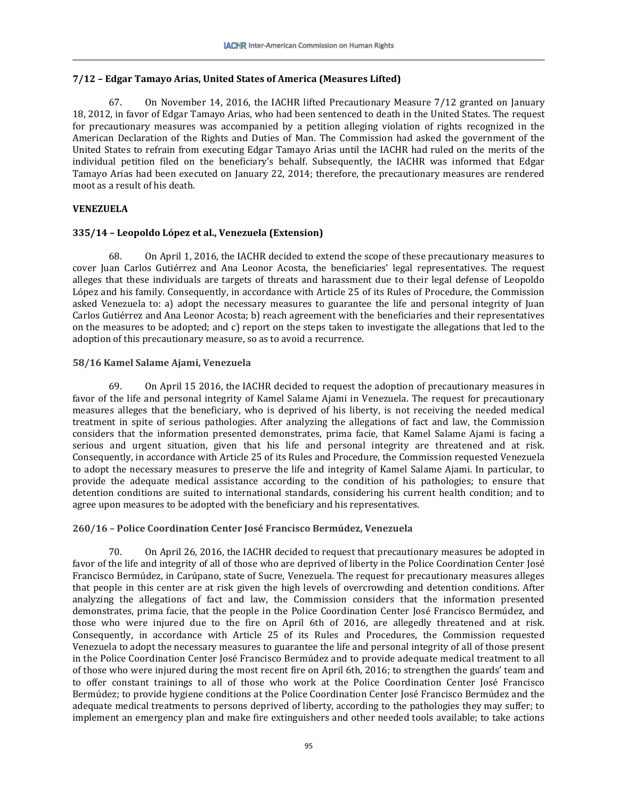# **7/12 – Edgar Tamayo Arias, United States of America (Measures Lifted)**

67. On November 14, 2016, the IACHR lifted Precautionary Measure 7/12 granted on January 18, 2012, in favor of Edgar Tamayo Arias, who had been sentenced to death in the United States. The request for precautionary measures was accompanied by a petition alleging violation of rights recognized in the American Declaration of the Rights and Duties of Man. The Commission had asked the government of the United States to refrain from executing Edgar Tamayo Arias until the IACHR had ruled on the merits of the individual petition filed on the beneficiary's behalf. Subsequently, the IACHR was informed that Edgar Tamayo Arias had been executed on January 22, 2014; therefore, the precautionary measures are rendered moot as a result of his death.

# **VENEZUELA**

## **335/14 – Leopoldo López et al., Venezuela (Extension)**

68. On April 1, 2016, the IACHR decided to extend the scope of these precautionary measures to cover Juan Carlos Gutiérrez and Ana Leonor Acosta, the beneficiaries' legal representatives. The request alleges that these individuals are targets of threats and harassment due to their legal defense of Leopoldo López and his family. Consequently, in accordance with Article 25 of its Rules of Procedure, the Commission asked Venezuela to: a) adopt the necessary measures to guarantee the life and personal integrity of Juan Carlos Gutiérrez and Ana Leonor Acosta; b) reach agreement with the beneficiaries and their representatives on the measures to be adopted; and c) report on the steps taken to investigate the allegations that led to the adoption of this precautionary measure, so as to avoid a recurrence.

## **58/16 Kamel Salame Ajami, Venezuela**

69. On April 15 2016, the IACHR decided to request the adoption of precautionary measures in favor of the life and personal integrity of Kamel Salame Ajami in Venezuela. The request for precautionary measures alleges that the beneficiary, who is deprived of his liberty, is not receiving the needed medical treatment in spite of serious pathologies. After analyzing the allegations of fact and law, the Commission considers that the information presented demonstrates, prima facie, that Kamel Salame Ajami is facing a serious and urgent situation, given that his life and personal integrity are threatened and at risk. Consequently, in accordance with Article 25 of its Rules and Procedure, the Commission requested Venezuela to adopt the necessary measures to preserve the life and integrity of Kamel Salame Ajami. In particular, to provide the adequate medical assistance according to the condition of his pathologies; to ensure that detention conditions are suited to international standards, considering his current health condition; and to agree upon measures to be adopted with the beneficiary and his representatives.

### **260/16 – Police Coordination Center José Francisco Bermúdez, Venezuela**

70. On April 26, 2016, the IACHR decided to request that precautionary measures be adopted in favor of the life and integrity of all of those who are deprived of liberty in the Police Coordination Center José Francisco Bermúdez, in Carúpano, state of Sucre, Venezuela. The request for precautionary measures alleges that people in this center are at risk given the high levels of overcrowding and detention conditions. After analyzing the allegations of fact and law, the Commission considers that the information presented demonstrates, prima facie, that the people in the Police Coordination Center José Francisco Bermúdez, and those who were injured due to the fire on April 6th of 2016, are allegedly threatened and at risk. Consequently, in accordance with Article 25 of its Rules and Procedures, the Commission requested Venezuela to adopt the necessary measures to guarantee the life and personal integrity of all of those present in the Police Coordination Center José Francisco Bermúdez and to provide adequate medical treatment to all of those who were injured during the most recent fire on April 6th, 2016; to strengthen the guards' team and to offer constant trainings to all of those who work at the Police Coordination Center José Francisco Bermúdez; to provide hygiene conditions at the Police Coordination Center José Francisco Bermúdez and the adequate medical treatments to persons deprived of liberty, according to the pathologies they may suffer; to implement an emergency plan and make fire extinguishers and other needed tools available; to take actions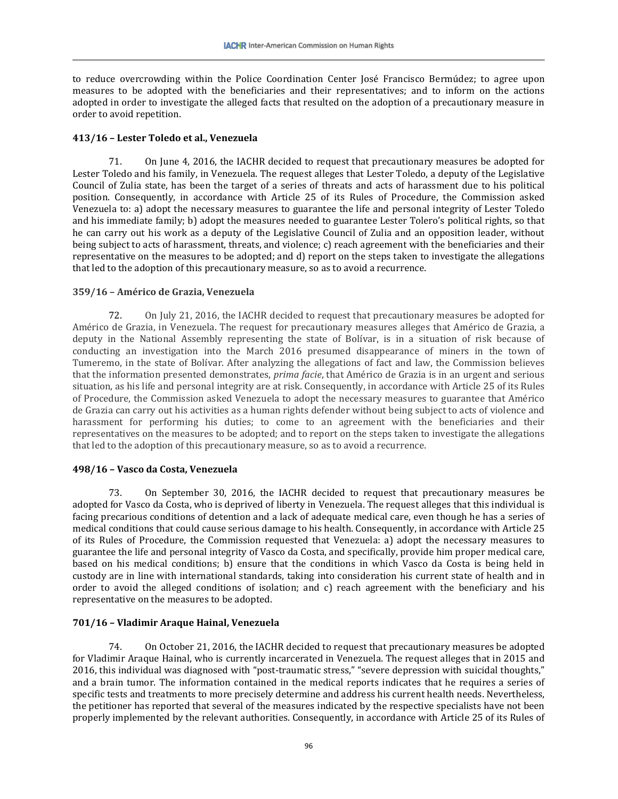to reduce overcrowding within the Police Coordination Center José Francisco Bermúdez; to agree upon measures to be adopted with the beneficiaries and their representatives; and to inform on the actions adopted in order to investigate the alleged facts that resulted on the adoption of a precautionary measure in order to avoid repetition.

### **413/16 – Lester Toledo et al., Venezuela**

71. On June 4, 2016, the IACHR decided to request that precautionary measures be adopted for Lester Toledo and his family, in Venezuela. The request alleges that Lester Toledo, a deputy of the Legislative Council of Zulia state, has been the target of a series of threats and acts of harassment due to his political position. Consequently, in accordance with Article 25 of its Rules of Procedure, the Commission asked Venezuela to: a) adopt the necessary measures to guarantee the life and personal integrity of Lester Toledo and his immediate family; b) adopt the measures needed to guarantee Lester Tolero's political rights, so that he can carry out his work as a deputy of the Legislative Council of Zulia and an opposition leader, without being subject to acts of harassment, threats, and violence; c) reach agreement with the beneficiaries and their representative on the measures to be adopted; and d) report on the steps taken to investigate the allegations that led to the adoption of this precautionary measure, so as to avoid a recurrence.

## **359/16 – Américo de Grazia, Venezuela**

72. On July 21, 2016, the IACHR decided to request that precautionary measures be adopted for Américo de Grazia, in Venezuela. The request for precautionary measures alleges that Américo de Grazia, a deputy in the National Assembly representing the state of Bolívar, is in a situation of risk because of conducting an investigation into the March 2016 presumed disappearance of miners in the town of Tumeremo, in the state of Bolívar. After analyzing the allegations of fact and law, the Commission believes that the information presented demonstrates, *prima facie*, that Américo de Grazia is in an urgent and serious situation, as his life and personal integrity are at risk. Consequently, in accordance with Article 25 of its Rules of Procedure, the Commission asked Venezuela to adopt the necessary measures to guarantee that Américo de Grazia can carry out his activities as a human rights defender without being subject to acts of violence and harassment for performing his duties; to come to an agreement with the beneficiaries and their representatives on the measures to be adopted; and to report on the steps taken to investigate the allegations that led to the adoption of this precautionary measure, so as to avoid a recurrence.

### **498/16 – Vasco da Costa, Venezuela**

73. On September 30, 2016, the IACHR decided to request that precautionary measures be adopted for Vasco da Costa, who is deprived of liberty in Venezuela. The request alleges that this individual is facing precarious conditions of detention and a lack of adequate medical care, even though he has a series of medical conditions that could cause serious damage to his health. Consequently, in accordance with Article 25 of its Rules of Procedure, the Commission requested that Venezuela: a) adopt the necessary measures to guarantee the life and personal integrity of Vasco da Costa, and specifically, provide him proper medical care, based on his medical conditions; b) ensure that the conditions in which Vasco da Costa is being held in custody are in line with international standards, taking into consideration his current state of health and in order to avoid the alleged conditions of isolation; and c) reach agreement with the beneficiary and his representative on the measures to be adopted.

# **701/16 – Vladimir Araque Hainal, Venezuela**

74. On October 21, 2016, the IACHR decided to request that precautionary measures be adopted for Vladimir Araque Hainal, who is currently incarcerated in Venezuela. The request alleges that in 2015 and 2016, this individual was diagnosed with "post-traumatic stress," "severe depression with suicidal thoughts," and a brain tumor. The information contained in the medical reports indicates that he requires a series of specific tests and treatments to more precisely determine and address his current health needs. Nevertheless, the petitioner has reported that several of the measures indicated by the respective specialists have not been properly implemented by the relevant authorities. Consequently, in accordance with Article 25 of its Rules of